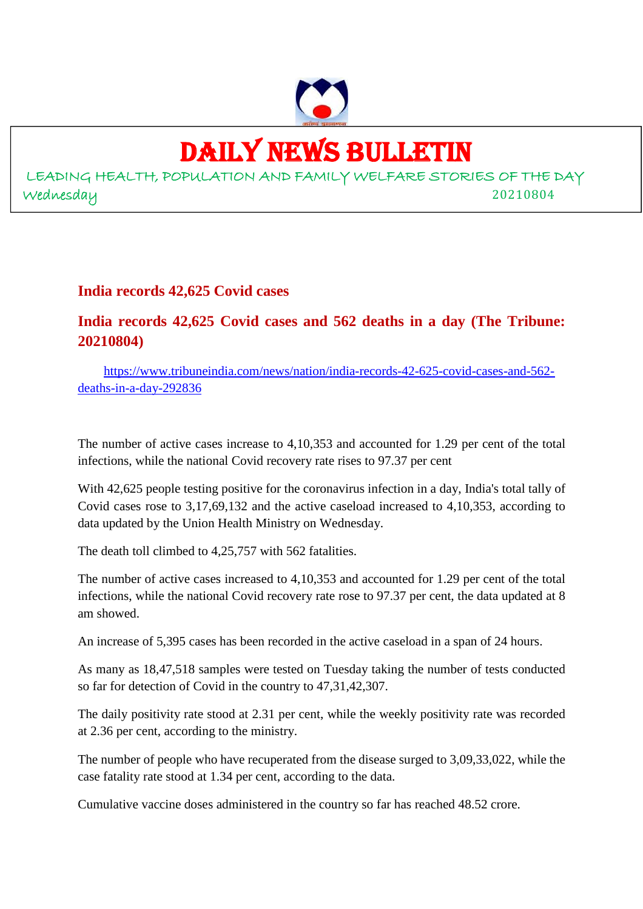

# DAILY NEWS BULLETIN

LEADING HEALTH, POPULATION AND FAMILY WELFARE STORIES OF THE DAY Wednesday 20210804

### **India records 42,625 Covid cases**

### **India records 42,625 Covid cases and 562 deaths in a day (The Tribune: 20210804)**

https://www.tribuneindia.com/news/nation/india-records-42-625-covid-cases-and-562 deaths-in-a-day-292836

The number of active cases increase to 4,10,353 and accounted for 1.29 per cent of the total infections, while the national Covid recovery rate rises to 97.37 per cent

With 42,625 people testing positive for the coronavirus infection in a day, India's total tally of Covid cases rose to 3,17,69,132 and the active caseload increased to 4,10,353, according to data updated by the Union Health Ministry on Wednesday.

The death toll climbed to 4,25,757 with 562 fatalities.

The number of active cases increased to 4,10,353 and accounted for 1.29 per cent of the total infections, while the national Covid recovery rate rose to 97.37 per cent, the data updated at 8 am showed.

An increase of 5,395 cases has been recorded in the active caseload in a span of 24 hours.

As many as 18,47,518 samples were tested on Tuesday taking the number of tests conducted so far for detection of Covid in the country to 47,31,42,307.

The daily positivity rate stood at 2.31 per cent, while the weekly positivity rate was recorded at 2.36 per cent, according to the ministry.

The number of people who have recuperated from the disease surged to 3,09,33,022, while the case fatality rate stood at 1.34 per cent, according to the data.

Cumulative vaccine doses administered in the country so far has reached 48.52 crore.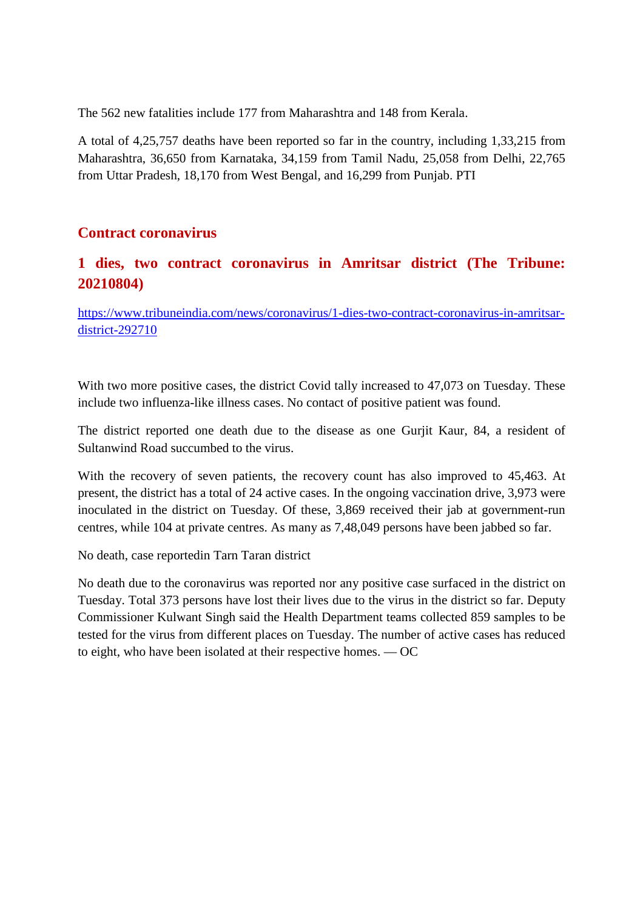The 562 new fatalities include 177 from Maharashtra and 148 from Kerala.

A total of 4,25,757 deaths have been reported so far in the country, including 1,33,215 from Maharashtra, 36,650 from Karnataka, 34,159 from Tamil Nadu, 25,058 from Delhi, 22,765 from Uttar Pradesh, 18,170 from West Bengal, and 16,299 from Punjab. PTI

### **Contract coronavirus**

### **1 dies, two contract coronavirus in Amritsar district (The Tribune: 20210804)**

https://www.tribuneindia.com/news/coronavirus/1-dies-two-contract-coronavirus-in-amritsardistrict-292710

With two more positive cases, the district Covid tally increased to 47,073 on Tuesday. These include two influenza-like illness cases. No contact of positive patient was found.

The district reported one death due to the disease as one Gurjit Kaur, 84, a resident of Sultanwind Road succumbed to the virus.

With the recovery of seven patients, the recovery count has also improved to 45,463. At present, the district has a total of 24 active cases. In the ongoing vaccination drive, 3,973 were inoculated in the district on Tuesday. Of these, 3,869 received their jab at government-run centres, while 104 at private centres. As many as 7,48,049 persons have been jabbed so far.

No death, case reportedin Tarn Taran district

No death due to the coronavirus was reported nor any positive case surfaced in the district on Tuesday. Total 373 persons have lost their lives due to the virus in the district so far. Deputy Commissioner Kulwant Singh said the Health Department teams collected 859 samples to be tested for the virus from different places on Tuesday. The number of active cases has reduced to eight, who have been isolated at their respective homes. — OC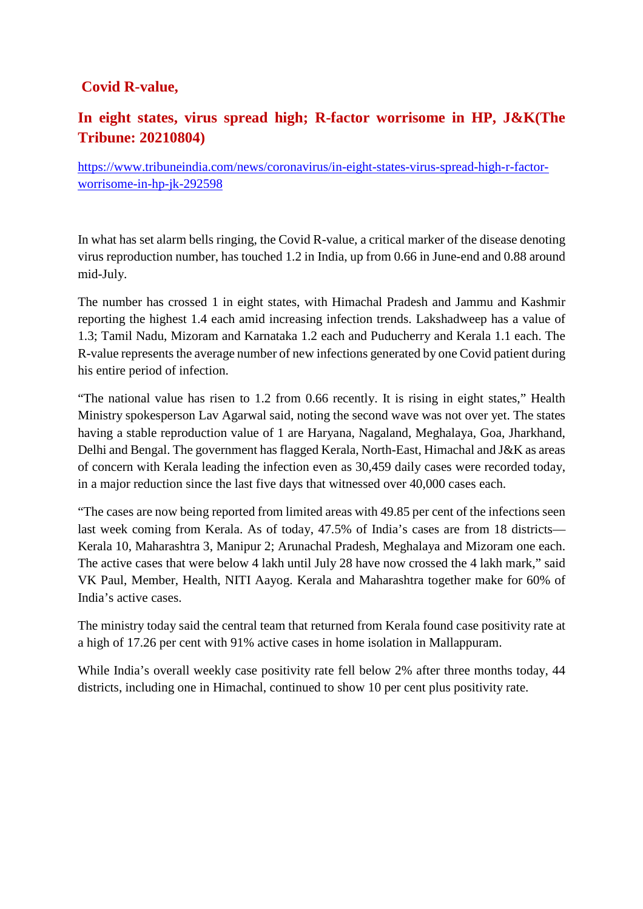### **Covid R-value,**

### **In eight states, virus spread high; R-factor worrisome in HP, J&K(The Tribune: 20210804)**

https://www.tribuneindia.com/news/coronavirus/in-eight-states-virus-spread-high-r-factorworrisome-in-hp-jk-292598

In what has set alarm bells ringing, the Covid R-value, a critical marker of the disease denoting virus reproduction number, has touched 1.2 in India, up from 0.66 in June-end and 0.88 around mid-July.

The number has crossed 1 in eight states, with Himachal Pradesh and Jammu and Kashmir reporting the highest 1.4 each amid increasing infection trends. Lakshadweep has a value of 1.3; Tamil Nadu, Mizoram and Karnataka 1.2 each and Puducherry and Kerala 1.1 each. The R-value represents the average number of new infections generated by one Covid patient during his entire period of infection.

"The national value has risen to 1.2 from 0.66 recently. It is rising in eight states," Health Ministry spokesperson Lav Agarwal said, noting the second wave was not over yet. The states having a stable reproduction value of 1 are Haryana, Nagaland, Meghalaya, Goa, Jharkhand, Delhi and Bengal. The government has flagged Kerala, North-East, Himachal and J&K as areas of concern with Kerala leading the infection even as 30,459 daily cases were recorded today, in a major reduction since the last five days that witnessed over 40,000 cases each.

"The cases are now being reported from limited areas with 49.85 per cent of the infections seen last week coming from Kerala. As of today, 47.5% of India's cases are from 18 districts— Kerala 10, Maharashtra 3, Manipur 2; Arunachal Pradesh, Meghalaya and Mizoram one each. The active cases that were below 4 lakh until July 28 have now crossed the 4 lakh mark," said VK Paul, Member, Health, NITI Aayog. Kerala and Maharashtra together make for 60% of India's active cases.

The ministry today said the central team that returned from Kerala found case positivity rate at a high of 17.26 per cent with 91% active cases in home isolation in Mallappuram.

While India's overall weekly case positivity rate fell below 2% after three months today, 44 districts, including one in Himachal, continued to show 10 per cent plus positivity rate.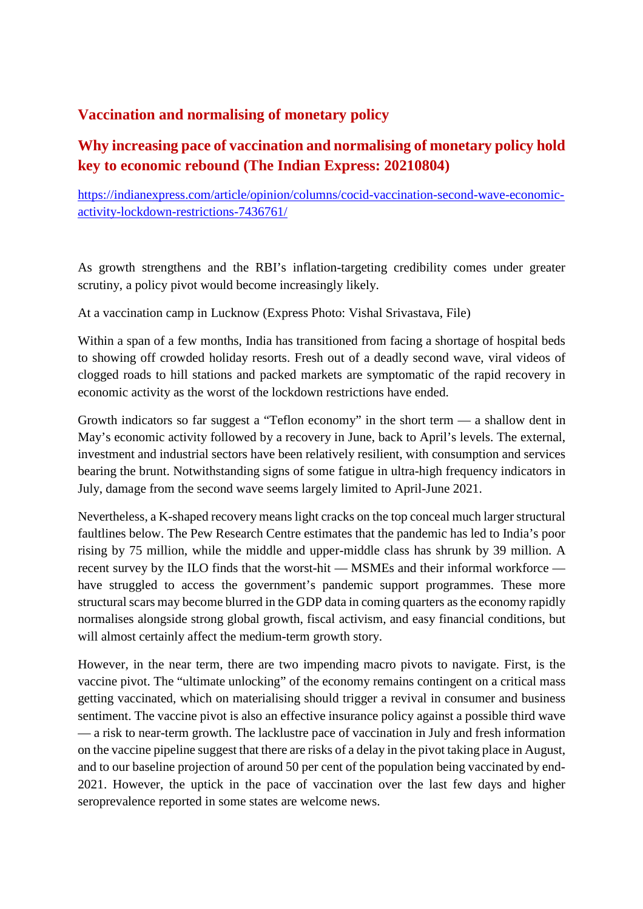### **Vaccination and normalising of monetary policy**

### **Why increasing pace of vaccination and normalising of monetary policy hold key to economic rebound (The Indian Express: 20210804)**

https://indianexpress.com/article/opinion/columns/cocid-vaccination-second-wave-economicactivity-lockdown-restrictions-7436761/

As growth strengthens and the RBI's inflation-targeting credibility comes under greater scrutiny, a policy pivot would become increasingly likely.

At a vaccination camp in Lucknow (Express Photo: Vishal Srivastava, File)

Within a span of a few months, India has transitioned from facing a shortage of hospital beds to showing off crowded holiday resorts. Fresh out of a deadly second wave, viral videos of clogged roads to hill stations and packed markets are symptomatic of the rapid recovery in economic activity as the worst of the lockdown restrictions have ended.

Growth indicators so far suggest a "Teflon economy" in the short term — a shallow dent in May's economic activity followed by a recovery in June, back to April's levels. The external, investment and industrial sectors have been relatively resilient, with consumption and services bearing the brunt. Notwithstanding signs of some fatigue in ultra-high frequency indicators in July, damage from the second wave seems largely limited to April-June 2021.

Nevertheless, a K-shaped recovery means light cracks on the top conceal much larger structural faultlines below. The Pew Research Centre estimates that the pandemic has led to India's poor rising by 75 million, while the middle and upper-middle class has shrunk by 39 million. A recent survey by the ILO finds that the worst-hit — MSMEs and their informal workforce have struggled to access the government's pandemic support programmes. These more structural scars may become blurred in the GDP data in coming quarters as the economy rapidly normalises alongside strong global growth, fiscal activism, and easy financial conditions, but will almost certainly affect the medium-term growth story.

However, in the near term, there are two impending macro pivots to navigate. First, is the vaccine pivot. The "ultimate unlocking" of the economy remains contingent on a critical mass getting vaccinated, which on materialising should trigger a revival in consumer and business sentiment. The vaccine pivot is also an effective insurance policy against a possible third wave — a risk to near-term growth. The lacklustre pace of vaccination in July and fresh information on the vaccine pipeline suggest that there are risks of a delay in the pivot taking place in August, and to our baseline projection of around 50 per cent of the population being vaccinated by end-2021. However, the uptick in the pace of vaccination over the last few days and higher seroprevalence reported in some states are welcome news.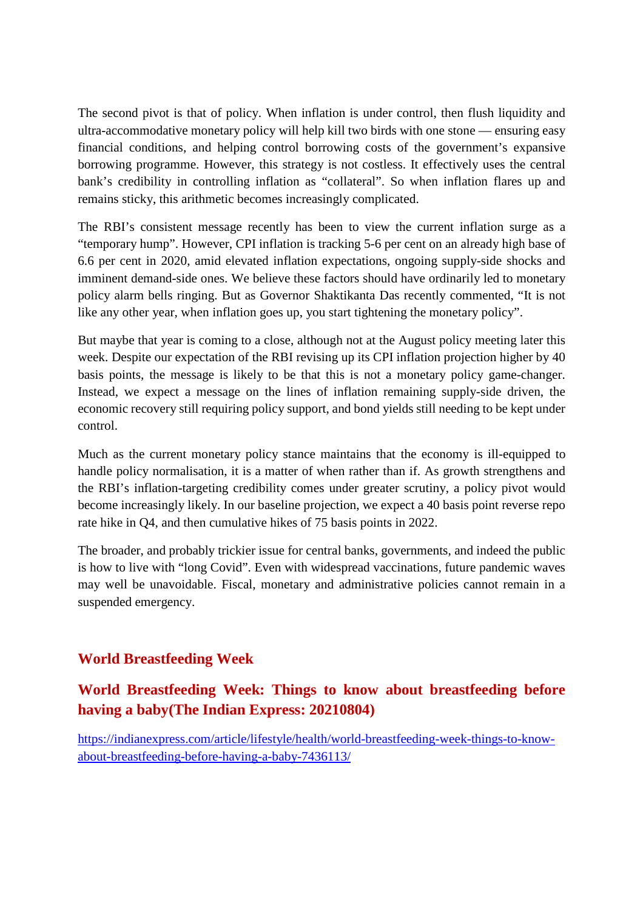The second pivot is that of policy. When inflation is under control, then flush liquidity and ultra-accommodative monetary policy will help kill two birds with one stone — ensuring easy financial conditions, and helping control borrowing costs of the government's expansive borrowing programme. However, this strategy is not costless. It effectively uses the central bank's credibility in controlling inflation as "collateral". So when inflation flares up and remains sticky, this arithmetic becomes increasingly complicated.

The RBI's consistent message recently has been to view the current inflation surge as a "temporary hump". However, CPI inflation is tracking 5-6 per cent on an already high base of 6.6 per cent in 2020, amid elevated inflation expectations, ongoing supply-side shocks and imminent demand-side ones. We believe these factors should have ordinarily led to monetary policy alarm bells ringing. But as Governor Shaktikanta Das recently commented, "It is not like any other year, when inflation goes up, you start tightening the monetary policy".

But maybe that year is coming to a close, although not at the August policy meeting later this week. Despite our expectation of the RBI revising up its CPI inflation projection higher by 40 basis points, the message is likely to be that this is not a monetary policy game-changer. Instead, we expect a message on the lines of inflation remaining supply-side driven, the economic recovery still requiring policy support, and bond yields still needing to be kept under control.

Much as the current monetary policy stance maintains that the economy is ill-equipped to handle policy normalisation, it is a matter of when rather than if. As growth strengthens and the RBI's inflation-targeting credibility comes under greater scrutiny, a policy pivot would become increasingly likely. In our baseline projection, we expect a 40 basis point reverse repo rate hike in Q4, and then cumulative hikes of 75 basis points in 2022.

The broader, and probably trickier issue for central banks, governments, and indeed the public is how to live with "long Covid". Even with widespread vaccinations, future pandemic waves may well be unavoidable. Fiscal, monetary and administrative policies cannot remain in a suspended emergency.

### **World Breastfeeding Week**

### **World Breastfeeding Week: Things to know about breastfeeding before having a baby(The Indian Express: 20210804)**

https://indianexpress.com/article/lifestyle/health/world-breastfeeding-week-things-to-knowabout-breastfeeding-before-having-a-baby-7436113/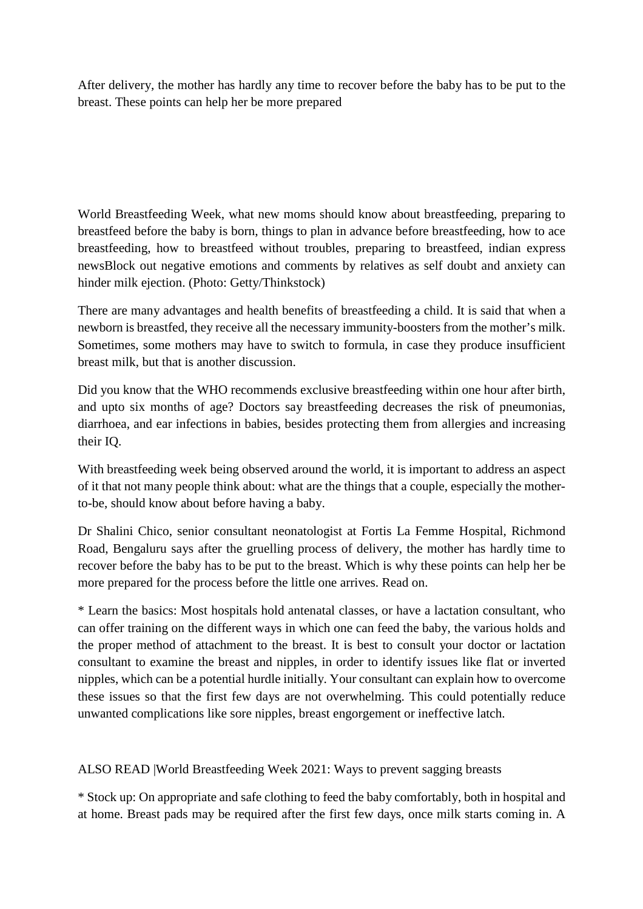After delivery, the mother has hardly any time to recover before the baby has to be put to the breast. These points can help her be more prepared

World Breastfeeding Week, what new moms should know about breastfeeding, preparing to breastfeed before the baby is born, things to plan in advance before breastfeeding, how to ace breastfeeding, how to breastfeed without troubles, preparing to breastfeed, indian express newsBlock out negative emotions and comments by relatives as self doubt and anxiety can hinder milk ejection. (Photo: Getty/Thinkstock)

There are many advantages and health benefits of breastfeeding a child. It is said that when a newborn is breastfed, they receive all the necessary immunity-boosters from the mother's milk. Sometimes, some mothers may have to switch to formula, in case they produce insufficient breast milk, but that is another discussion.

Did you know that the WHO recommends exclusive breastfeeding within one hour after birth, and upto six months of age? Doctors say breastfeeding decreases the risk of pneumonias, diarrhoea, and ear infections in babies, besides protecting them from allergies and increasing their IQ.

With breastfeeding week being observed around the world, it is important to address an aspect of it that not many people think about: what are the things that a couple, especially the motherto-be, should know about before having a baby.

Dr Shalini Chico, senior consultant neonatologist at Fortis La Femme Hospital, Richmond Road, Bengaluru says after the gruelling process of delivery, the mother has hardly time to recover before the baby has to be put to the breast. Which is why these points can help her be more prepared for the process before the little one arrives. Read on.

\* Learn the basics: Most hospitals hold antenatal classes, or have a lactation consultant, who can offer training on the different ways in which one can feed the baby, the various holds and the proper method of attachment to the breast. It is best to consult your doctor or lactation consultant to examine the breast and nipples, in order to identify issues like flat or inverted nipples, which can be a potential hurdle initially. Your consultant can explain how to overcome these issues so that the first few days are not overwhelming. This could potentially reduce unwanted complications like sore nipples, breast engorgement or ineffective latch.

ALSO READ |World Breastfeeding Week 2021: Ways to prevent sagging breasts

\* Stock up: On appropriate and safe clothing to feed the baby comfortably, both in hospital and at home. Breast pads may be required after the first few days, once milk starts coming in. A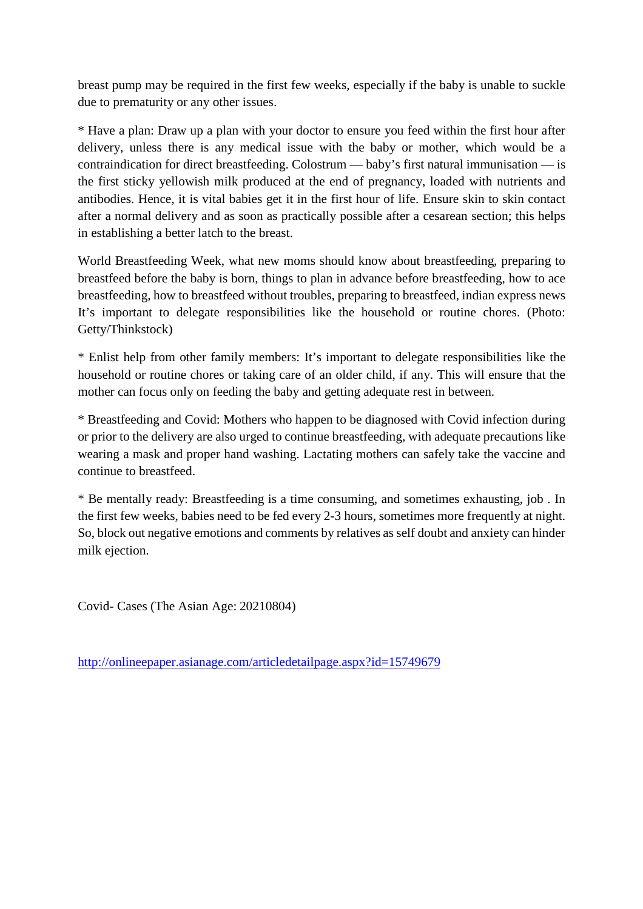breast pump may be required in the first few weeks, especially if the baby is unable to suckle due to prematurity or any other issues.

\* Have a plan: Draw up a plan with your doctor to ensure you feed within the first hour after delivery, unless there is any medical issue with the baby or mother, which would be a contraindication for direct breastfeeding. Colostrum — baby's first natural immunisation — is the first sticky yellowish milk produced at the end of pregnancy, loaded with nutrients and antibodies. Hence, it is vital babies get it in the first hour of life. Ensure skin to skin contact after a normal delivery and as soon as practically possible after a cesarean section; this helps in establishing a better latch to the breast.

World Breastfeeding Week, what new moms should know about breastfeeding, preparing to breastfeed before the baby is born, things to plan in advance before breastfeeding, how to ace breastfeeding, how to breastfeed without troubles, preparing to breastfeed, indian express news It's important to delegate responsibilities like the household or routine chores. (Photo: Getty/Thinkstock)

\* Enlist help from other family members: It's important to delegate responsibilities like the household or routine chores or taking care of an older child, if any. This will ensure that the mother can focus only on feeding the baby and getting adequate rest in between.

\* Breastfeeding and Covid: Mothers who happen to be diagnosed with Covid infection during or prior to the delivery are also urged to continue breastfeeding, with adequate precautions like wearing a mask and proper hand washing. Lactating mothers can safely take the vaccine and continue to breastfeed.

\* Be mentally ready: Breastfeeding is a time consuming, and sometimes exhausting, job . In the first few weeks, babies need to be fed every 2-3 hours, sometimes more frequently at night. So, block out negative emotions and comments by relatives as self doubt and anxiety can hinder milk ejection.

Covid- Cases (The Asian Age: 20210804)

http://onlineepaper.asianage.com/articledetailpage.aspx?id=15749679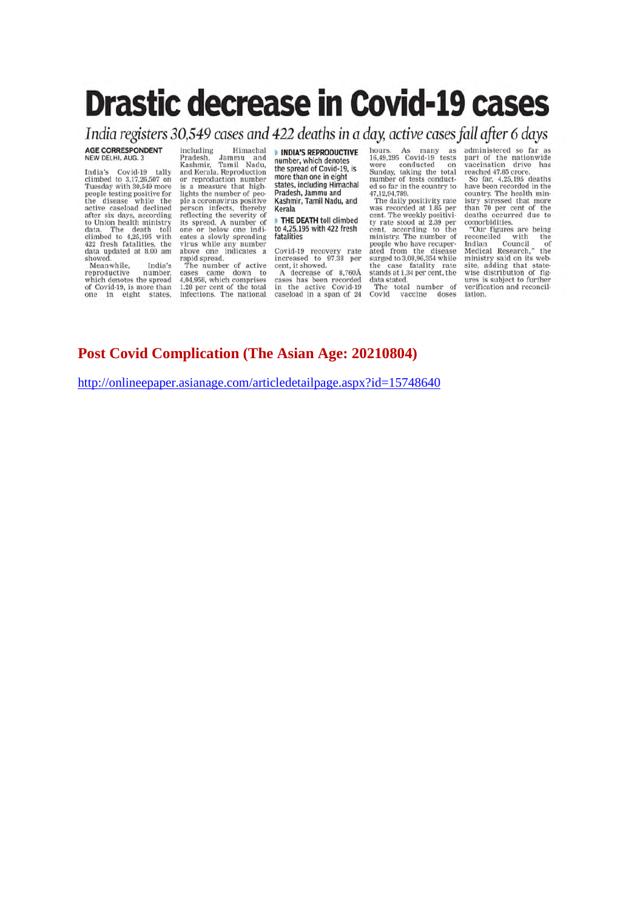# **Drastic decrease in Covid-19 cases**

India registers 30,549 cases and 422 deaths in a day, active cases fall after 6 days

AGE CORRESPONDENT NEW DELHI, AUG. 3

India's Covid-19 tally<br>
India's Covid-19 tally<br>
climbed to 3,17,26,507 on<br>
Tuesday with 30,549 more<br>
people testing positive for<br>
the disease while the<br>
active caseload declined<br>
data. The death toll<br>
data updated at 8.00

reproductive number,<br>which denotes the spread of Covid-19, is more than<br>one in eight states,

including Himachal nncuding<br>Pradesh, Jammu and<br>Kashmir, Tamil Nadu,<br>and Kerala. Reproduction<br>or reproduction number is a measure that highis a measure that night<br>lights the number of peo-<br>ple a coronavirus positive<br>person infects, thereby<br>reflecting the severity of<br>its spread. A number of one or below one indicates a slowly spreading virus while any number<br>above one indicates a<br>rapid spread.

rapid spread.<br>The number of active<br>cases came down to<br>4,04,958, which comprises<br>1.28 per cent of the total<br>infections. The national

INDIA'S REPRODUCTIVE number, which denotes the spread of Covid-19, is more than one in eight states, including Himachal Pradesh, Jammu and Kashmir, Tamil Nadu, and Kerala

THE DEATH toll climbed to 4,25,195 with 422 fresh fatalities

Covid-19 recovery rate<br>increased to 97.38 per ncreased to 97.38 per<br>cent, it showed.<br>A decrease of 8,760Å<br>cases has been recorded<br>in the active Covid-19<br>caseload in a span of 24 hours. As many as<br>16,49,295 Covid-19 tests<br>were conducted on<br>Sunday, taking the total<br>number of tests conducted so far in the country to 47,12,94,789.<br>The daily positivity rate

The daily positivity rate<br>was recorded at 1.85 per<br>cent. The weekly positivity<br>rate stood at 2.39 per<br>cent, according to the<br>ministry. The number of<br>people who have recuper-<br>ated from the disease<br>surged to 3.08.96.354 whil data stated.<br>The total number of<br>Covid vaccine doses

administered so far as administered so far as<br>part of the nationwide<br>vaccination drive has<br>reached 47.85 crore.<br>So far, 4,25,195 deaths<br>have been recorded in the

have been recorded in the<br>country. The health mini-<br>istry stressed that more<br>than 70 per cent of the<br>deaths occurred due to<br>comorbidities.

comorbidities.<br>
"Our figures are being<br>
reconciled with the<br>
Indian Council<br>
Medical Research," the<br>
ministry said on its web-<br>
site, adding that state-<br>
wise distribution of fig-<br>
ures is subject to further verification and reconciliation.

### **Post Covid Complication (The Asian Age: 20210804)**

http://onlineepaper.asianage.com/articledetailpage.aspx?id=15748640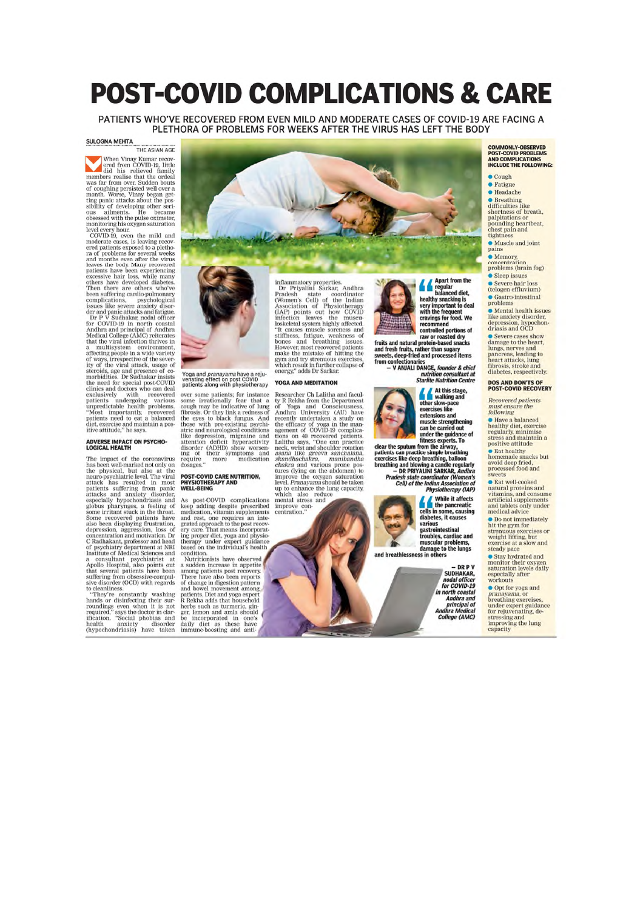## **POST-COVID COMPLICATIONS & CARE**

PATIENTS WHO'VE RECOVERED FROM EVEN MILD AND MODERATE CASES OF COVID-19 ARE FACING A PLETHORA OF PROBLEMS FOR WEEKS AFTER THE VIRUS HAS LEFT THE BODY

#### **SULOGNA MEHTA** THE ASIAN AGE

SULOGNA MEHTA<br>
THE ASIAN AGE<br>
When Vinay Kumar recovered from COVID-19, little and<br>
the order from COVID-19, little and the order family members realise that the order<br>
and his relieved family of developing other seri-<br>
ti clinics and doctors who can deal<br>exclusively with recovered<br>patients undergoing various<br>unpredictable health problems<br>"Most importantly, recovered<br>diet, exercise and maintain a pos-<br>tive attitude," he says.

### **ADVERSE IMPACT ON PSYCHO-LOGICAL HEALTH**

The impact of the coronavirus<br>has been well-marked not only on the physical, but also at the<br>neuro-psychiatric level. The viral that also at the<br>attack has resulted in most<br>attack has resulted in most<br>expectally hypochond The impact of the coronavirus to cleanliness

to cleanliness.<br>"They're constantly washing hands or disinfecting their survoudings even when it is not<br>required," says the doctor in clarification. "Social phobias and<br>health anxiety disorder the health anxiety disorder<br>(



## Yoga and *pranayama* have a reju-<br>venating effect on post COVID<br>patients along with physiotherapy

over some patients; for instance over some parients; for instance some irrationally fear that a cough may be indicative of lung fibrosis. Or they link a redness of the eyes to black fungus. And those with pre-existing psychiative atterior atterior of the dosages

## POST-COVID CARE NUTRITION,<br>PHYSIOTHERAPY AND<br>WELL-BEING

**WELL-BEING**<br>As post-COVID complications<br>Reep adding despite prescribed<br>medication, vitamin supplements<br>and rest, one requires an inter-<br>grave are that mean incorporate<br>grave and proper diet, yoga and physio-<br>therapy under

imflammatory properties.<br>
Dr Priyalini Sarkar, Andhra<br>
Pradesh state coordinator<br>
Pradesh state coordinator<br>
(Women's Cell) of the Indian<br>
Association of Physiotherapy<br>
(IAP) points out how COVID<br>
infection leaves the mus

#### YOGA AND MEDITATION

**YOGA AND MEDITATION**<br>
Researcher Ch Lalitha and facul-<br>
Researcher Ch Lalitha and facul-<br>
ty R Rekha from the Department<br>
of Yoga and Consciousness,<br>
recently undertaken a study on<br>
the efficacy of yoga in the man-<br>
agem up to enhance the lung capacity.

which also reduce<br>mental stress and<br>improve con-<br>centration."



Apart from the<br>regular<br>healthy snacking is<br>healthy snacking is<br>very important to deal<br>travings for food. We<br>travings for food. We<br>controlled portions of<br>fruits and natural protein-based snacks<br>and fresh fruits, rather than

onfectionaries<br>V ANJALI DANGE, *founder & chief* nutrition consultant at<br>Starlite Nutrition Centre

**A At this stage,**<br>
ther slow-pace<br>
exercises like<br>
extensions and<br>
muscle strengthenin<br>
can be carried out<br>
under the muldance ing under the guidance of

beat the spatial main time at way,<br>patients can practice simple breathing<br>exercises like deep breathing, balloon<br>breathing and blowing a candle regularly<br>— DR PRIYALINI SARKAR, *Andhra* **- DK PRITALINI SARKAR, Andma**<br>Pradesh state coordinator (Women's<br>Cell) of the Indian Association of<br>Physiotherapy (IAP)

While it affects<br>cells in some, causing<br>diabetes, it causes diabetes, it causes<br>yarious<br>gastrointestinal<br>troubles, cardiac and<br>damage to the lungs<br>damage to the lungs<br>se in others

ss in others

– DR P V<br>SUDHAKAR, nodal officer<br>for COVID-19 in north coastal<br>Andhra and Antara and<br>principal of<br>Andhra Medical<br>College (AMC) COMMONLY-OBSERVED<br>POST-COVID PROBLEMS<br>AND COMPLICATIONS<br>INCLUDE THE FOLLOWING:

 $\bullet$  Cough • Fatigue

 $\bullet$  Headache Treadache<br>
The Breathing<br>
difficulties like<br>
shortness of breath,<br>
pounding heartbeat,<br>
pounding heartbeat,<br>
chest pain and<br>
tightness

• Muscle and joint pains

• Memory,<br>concentration<br>problems (brain fog)

• Sleep issues

**.** Severe hair loss<br>(telogen effluvium)

· Gastro-intestinal<br>problems • Mental health issues<br>like anxiety disorder,<br>depression, hypochon-<br>driasis and OCD

drassis and OCD<br>
Severe cases show<br>
damage to the heart,<br>
lungs, nerves and<br>
pancreas, leading to<br>
heart attacks, lung<br>
fibrosis, stroke and<br>
diabetes, respectively.

**DOS AND DON'TS OF<br>POST-COVID RECOVERY** 

**Recovered patients** must ensure the<br>following

**DEATH STARTS**<br> **C** Have a balanced<br>
healthy diet, exercise<br>
regularly, minimise<br>
stress and maintain a<br>
positive attitude **SEXET SEXETS**<br> **CERT SCRIPTION**<br> **CONFIDENCE SEXET AND SEXES DUE**<br> **CONFIDENCE SEXES**<br> **CONFIDENCE SEXES**<br>
SEXEMEL SEXES<br>
SEXEMEL SEXES SEXES SEXES

sweets<br>
• Eat well-cooked<br>
natural proteins and<br>
vitamins, and consume<br>
artificial supplements<br>
and tablets only under<br>
medical advice<br>
medical advice

O Do not immediately<br>hit the gym for of the gym for<br>strenuous exercises or<br>weight lifting, but<br>exercise at a slow and<br>steady pace

steady pace<br>
Stay hydrated and<br>
monitor their oxygen<br>
saturation levels daily<br>
especially after<br>
workouts

Opt for yoga and **C** Opt to yoga and<br>pranayama, or<br>breathing exercises,<br>under expert guidance<br>stressing and<br>improving the lung<br>capacity

and breathless



from confec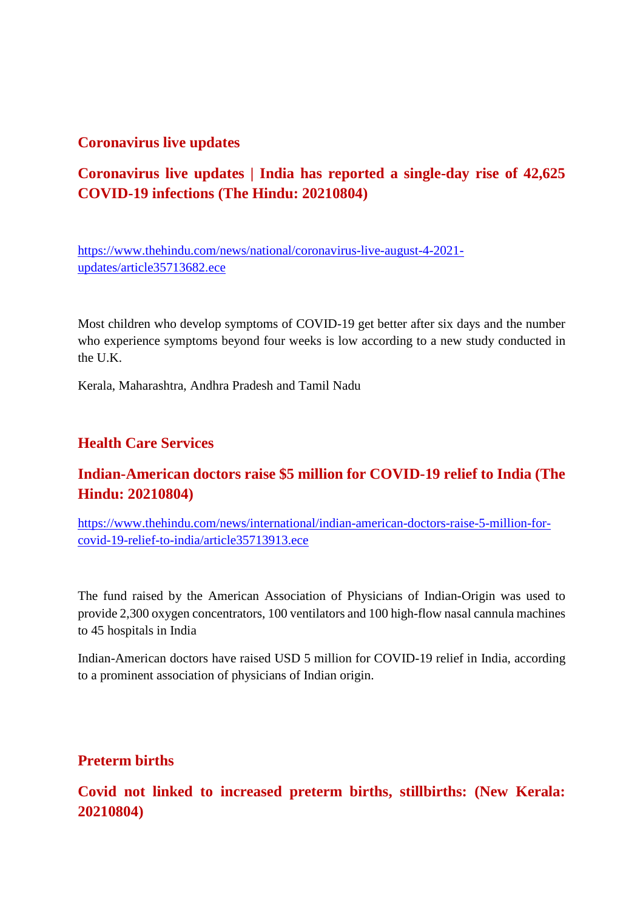### **Coronavirus live updates**

### **Coronavirus live updates | India has reported a single-day rise of 42,625 COVID-19 infections (The Hindu: 20210804)**

https://www.thehindu.com/news/national/coronavirus-live-august-4-2021 updates/article35713682.ece

Most children who develop symptoms of COVID-19 get better after six days and the number who experience symptoms beyond four weeks is low according to a new study conducted in the U.K.

Kerala, Maharashtra, Andhra Pradesh and Tamil Nadu

### **Health Care Services**

### **Indian-American doctors raise \$5 million for COVID-19 relief to India (The Hindu: 20210804)**

https://www.thehindu.com/news/international/indian-american-doctors-raise-5-million-forcovid-19-relief-to-india/article35713913.ece

The fund raised by the American Association of Physicians of Indian-Origin was used to provide 2,300 oxygen concentrators, 100 ventilators and 100 high-flow nasal cannula machines to 45 hospitals in India

Indian-American doctors have raised USD 5 million for COVID-19 relief in India, according to a prominent association of physicians of Indian origin.

### **Preterm births**

**Covid not linked to increased preterm births, stillbirths: (New Kerala: 20210804)**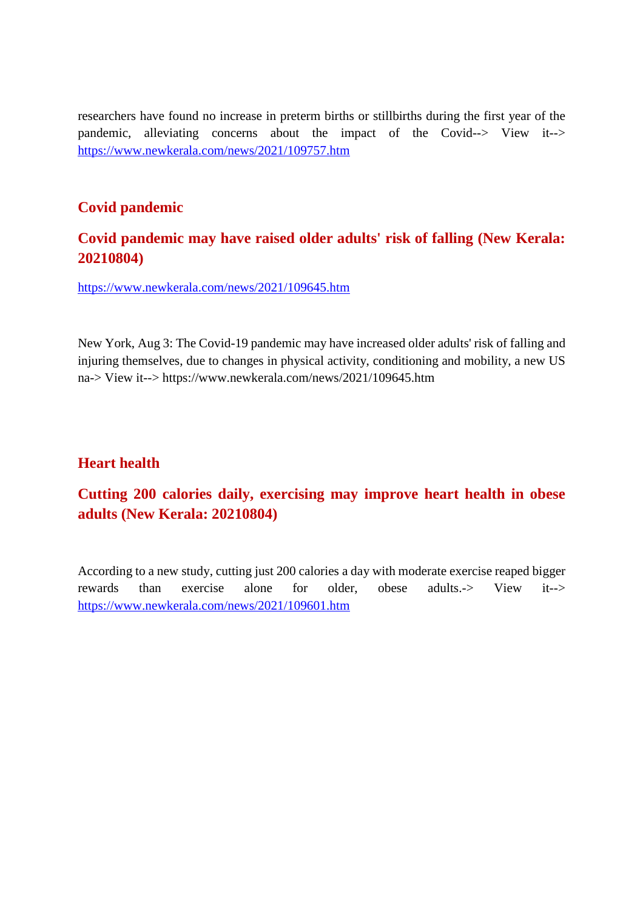researchers have found no increase in preterm births or stillbirths during the first year of the pandemic, alleviating concerns about the impact of the Covid--> View it--> https://www.newkerala.com/news/2021/109757.htm

### **Covid pandemic**

### **Covid pandemic may have raised older adults' risk of falling (New Kerala: 20210804)**

https://www.newkerala.com/news/2021/109645.htm

New York, Aug 3: The Covid-19 pandemic may have increased older adults' risk of falling and injuring themselves, due to changes in physical activity, conditioning and mobility, a new US na-> View it--> https://www.newkerala.com/news/2021/109645.htm

### **Heart health**

### **Cutting 200 calories daily, exercising may improve heart health in obese adults (New Kerala: 20210804)**

According to a new study, cutting just 200 calories a day with moderate exercise reaped bigger rewards than exercise alone for older, obese adults.-> View it--> https://www.newkerala.com/news/2021/109601.htm